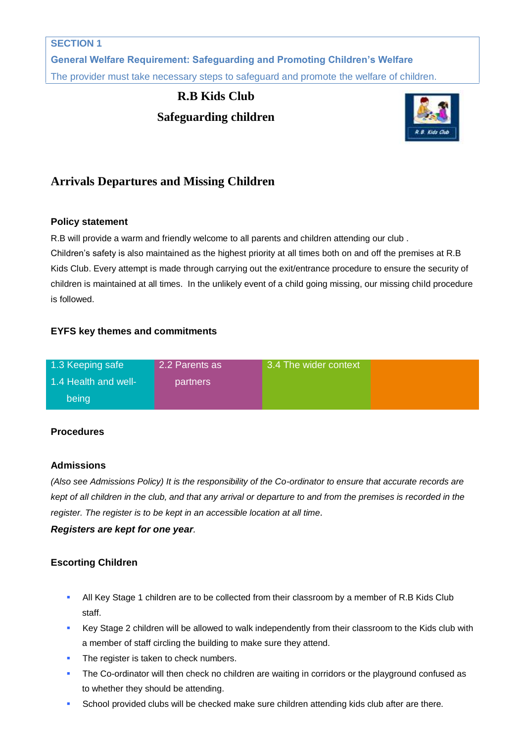**General Welfare Requirement: Safeguarding and Promoting Children's Welfare** The provider must take necessary steps to safeguard and promote the welfare of children.

# **R.B Kids Club Safeguarding children**



## **Arrivals Departures and Missing Children**

## **Policy statement**

R.B will provide a warm and friendly welcome to all parents and children attending our club .

Children's safety is also maintained as the highest priority at all times both on and off the premises at R.B Kids Club. Every attempt is made through carrying out the exit/entrance procedure to ensure the security of children is maintained at all times. In the unlikely event of a child going missing, our missing child procedure is followed.

## **EYFS key themes and commitments**

| 1.3 Keeping safe     | 2.2 Parents as  | 3.4 The wider context |  |
|----------------------|-----------------|-----------------------|--|
| 1.4 Health and well- | <b>partners</b> |                       |  |
| being                |                 |                       |  |

## **Procedures**

## **Admissions**

*(Also see Admissions Policy) It is the responsibility of the Co-ordinator to ensure that accurate records are kept of all children in the club, and that any arrival or departure to and from the premises is recorded in the register. The register is to be kept in an accessible location at all time.* 

## *Registers are kept for one year.*

## **Escorting Children**

- All Key Stage 1 children are to be collected from their classroom by a member of R.B Kids Club staff.
- Key Stage 2 children will be allowed to walk independently from their classroom to the Kids club with a member of staff circling the building to make sure they attend.
- The register is taken to check numbers.
- The Co-ordinator will then check no children are waiting in corridors or the playground confused as to whether they should be attending.
- **School provided clubs will be checked make sure children attending kids club after are there.**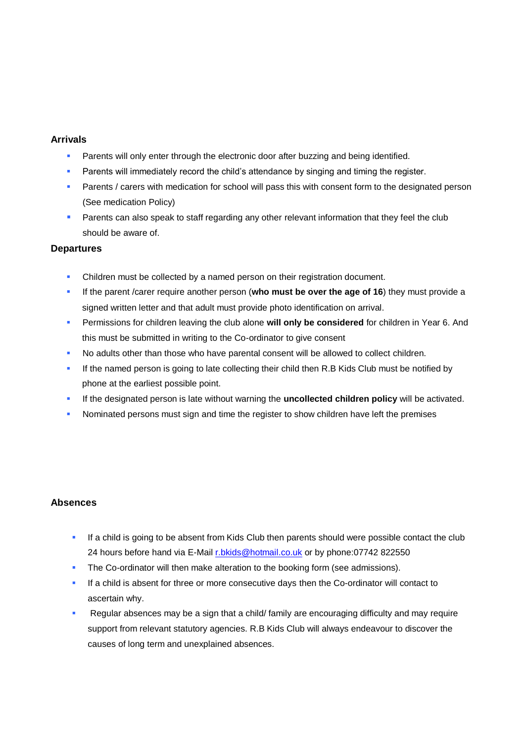#### **Arrivals**

- Parents will only enter through the electronic door after buzzing and being identified.
- Parents will immediately record the child's attendance by singing and timing the register.
- Parents / carers with medication for school will pass this with consent form to the designated person (See medication Policy)
- **Parents can also speak to staff regarding any other relevant information that they feel the club** should be aware of.

#### **Departures**

- Children must be collected by a named person on their registration document.
- If the parent /carer require another person (**who must be over the age of 16**) they must provide a signed written letter and that adult must provide photo identification on arrival.
- **Permissions for children leaving the club alone will only be considered** for children in Year 6. And this must be submitted in writing to the Co-ordinator to give consent
- No adults other than those who have parental consent will be allowed to collect children.
- If the named person is going to late collecting their child then R.B Kids Club must be notified by phone at the earliest possible point.
- If the designated person is late without warning the **uncollected children policy** will be activated.
- Nominated persons must sign and time the register to show children have left the premises

#### **Absences**

- If a child is going to be absent from Kids Club then parents should were possible contact the club 24 hours before hand via E-Mail [r.bkids@hotmail.co.uk](mailto:r.bkids@hotmail.co.uk) or by phone:07742 822550
- The Co-ordinator will then make alteration to the booking form (see admissions).
- If a child is absent for three or more consecutive days then the Co-ordinator will contact to ascertain why.
- Regular absences may be a sign that a child/ family are encouraging difficulty and may require support from relevant statutory agencies. R.B Kids Club will always endeavour to discover the causes of long term and unexplained absences.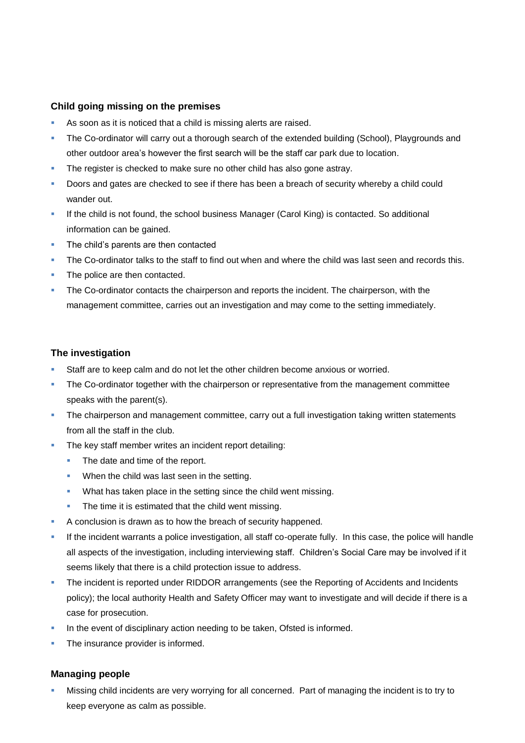#### **Child going missing on the premises**

- As soon as it is noticed that a child is missing alerts are raised.
- The Co-ordinator will carry out a thorough search of the extended building (School), Playgrounds and other outdoor area's however the first search will be the staff car park due to location.
- The register is checked to make sure no other child has also gone astray.
- Doors and gates are checked to see if there has been a breach of security whereby a child could wander out.
- If the child is not found, the school business Manager (Carol King) is contacted. So additional information can be gained.
- The child's parents are then contacted
- The Co-ordinator talks to the staff to find out when and where the child was last seen and records this.
- The police are then contacted.
- The Co-ordinator contacts the chairperson and reports the incident. The chairperson, with the management committee, carries out an investigation and may come to the setting immediately.

#### **The investigation**

- Staff are to keep calm and do not let the other children become anxious or worried.
- **The Co-ordinator together with the chairperson or representative from the management committee** speaks with the parent(s).
- **The chairperson and management committee, carry out a full investigation taking written statements** from all the staff in the club.
- The key staff member writes an incident report detailing:
	- The date and time of the report.
	- When the child was last seen in the setting.
	- **What has taken place in the setting since the child went missing.**
	- The time it is estimated that the child went missing.
- A conclusion is drawn as to how the breach of security happened.
- If the incident warrants a police investigation, all staff co-operate fully. In this case, the police will handle all aspects of the investigation, including interviewing staff. Children's Social Care may be involved if it seems likely that there is a child protection issue to address.
- The incident is reported under RIDDOR arrangements (see the Reporting of Accidents and Incidents policy); the local authority Health and Safety Officer may want to investigate and will decide if there is a case for prosecution.
- In the event of disciplinary action needing to be taken, Ofsted is informed.
- The insurance provider is informed.

#### **Managing people**

 Missing child incidents are very worrying for all concerned. Part of managing the incident is to try to keep everyone as calm as possible.